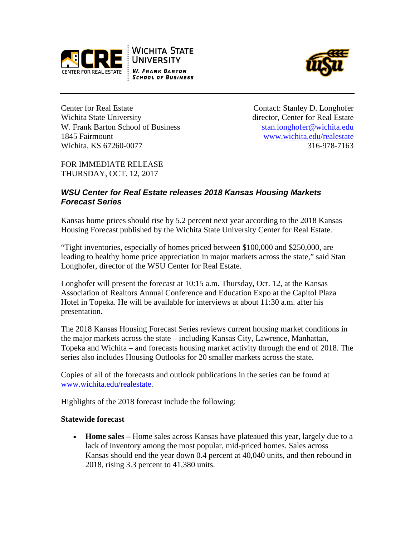





Center for Real Estate Contact: Stanley D. Longhofer Wichita State University **director**, Center for Real Estate W. Frank Barton School of Business [stan.longhofer@wichita.edu](mailto:stan.longhofer@wichita.edu) 1845 Fairmount [www.wichita.edu/realestate](http://www.wichita.edu/realestate)  Wichita, KS 67260-0077 316-978-7163

FOR IMMEDIATE RELEASE THURSDAY, OCT. 12, 2017

# *WSU Center for Real Estate releases 2018 Kansas Housing Markets Forecast Series*

Kansas home prices should rise by 5.2 percent next year according to the 2018 Kansas Housing Forecast published by the Wichita State University Center for Real Estate.

"Tight inventories, especially of homes priced between \$100,000 and \$250,000, are leading to healthy home price appreciation in major markets across the state," said Stan Longhofer, director of the WSU Center for Real Estate.

Longhofer will present the forecast at 10:15 a.m. Thursday, Oct. 12, at the Kansas Association of Realtors Annual Conference and Education Expo at the Capitol Plaza Hotel in Topeka. He will be available for interviews at about 11:30 a.m. after his presentation.

The 2018 Kansas Housing Forecast Series reviews current housing market conditions in the major markets across the state – including Kansas City, Lawrence, Manhattan, Topeka and Wichita – and forecasts housing market activity through the end of 2018. The series also includes Housing Outlooks for 20 smaller markets across the state.

Copies of all of the forecasts and outlook publications in the series can be found at [www.wichita.edu/realestate.](http://www.wichita.edu/realestate)

Highlights of the 2018 forecast include the following:

#### **Statewide forecast**

• **Home sales** – Home sales across Kansas have plateaued this year, largely due to a lack of inventory among the most popular, mid-priced homes. Sales across Kansas should end the year down 0.4 percent at 40,040 units, and then rebound in 2018, rising 3.3 percent to 41,380 units.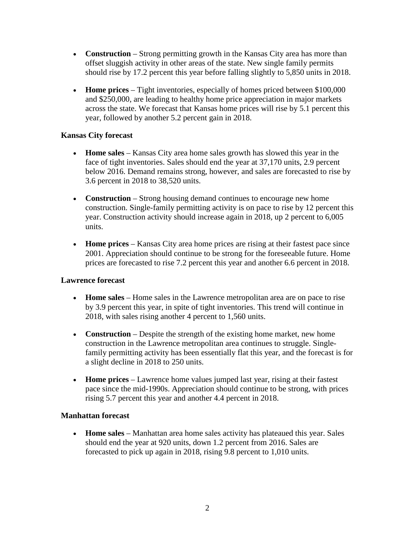- **Construction** Strong permitting growth in the Kansas City area has more than offset sluggish activity in other areas of the state. New single family permits should rise by 17.2 percent this year before falling slightly to 5,850 units in 2018.
- **Home prices** Tight inventories, especially of homes priced between \$100,000 and \$250,000, are leading to healthy home price appreciation in major markets across the state. We forecast that Kansas home prices will rise by 5.1 percent this year, followed by another 5.2 percent gain in 2018.

## **Kansas City forecast**

- **Home sales**  Kansas City area home sales growth has slowed this year in the face of tight inventories. Sales should end the year at 37,170 units, 2.9 percent below 2016. Demand remains strong, however, and sales are forecasted to rise by 3.6 percent in 2018 to 38,520 units.
- **Construction** Strong housing demand continues to encourage new home construction. Single-family permitting activity is on pace to rise by 12 percent this year. Construction activity should increase again in 2018, up 2 percent to 6,005 units.
- **Home prices** Kansas City area home prices are rising at their fastest pace since 2001. Appreciation should continue to be strong for the foreseeable future. Home prices are forecasted to rise 7.2 percent this year and another 6.6 percent in 2018.

## **Lawrence forecast**

- **Home sales** Home sales in the Lawrence metropolitan area are on pace to rise by 3.9 percent this year, in spite of tight inventories. This trend will continue in 2018, with sales rising another 4 percent to 1,560 units.
- **Construction** Despite the strength of the existing home market, new home construction in the Lawrence metropolitan area continues to struggle. Singlefamily permitting activity has been essentially flat this year, and the forecast is for a slight decline in 2018 to 250 units.
- **Home prices** Lawrence home values jumped last year, rising at their fastest pace since the mid-1990s. Appreciation should continue to be strong, with prices rising 5.7 percent this year and another 4.4 percent in 2018.

#### **Manhattan forecast**

• **Home sales** – Manhattan area home sales activity has plateaued this year. Sales should end the year at 920 units, down 1.2 percent from 2016. Sales are forecasted to pick up again in 2018, rising 9.8 percent to 1,010 units.